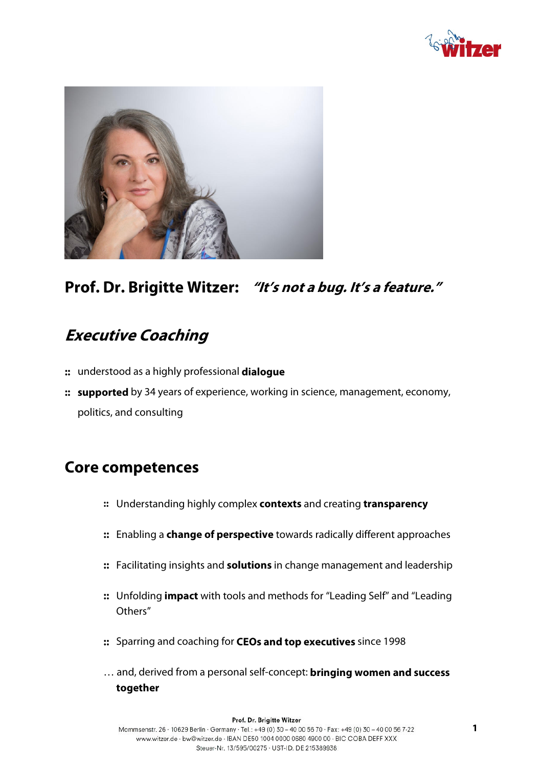



## **Prof. Dr. Brigitte Witzer: "It's not a bug. It's a feature."**

# **Executive Coaching**

- **::** understood as a highly professional **dialogue**
- **:: supported** by 34 years of experience, working in science, management, economy, politics, and consulting

### **Core competences**

- **::** Understanding highly complex **contexts** and creating **transparency**
- **::** Enabling a **change of perspective** towards radically different approaches
- **::** Facilitating insights and **solutions** in change management and leadership
- **::** Unfolding **impact** with tools and methods for "Leading Self" and "Leading Others"
- **::** Sparring and coaching for **CEOs and top executives** since 1998
- … and, derived from a personal self-concept: **bringing women and success together**

#### Prof. Dr. Brigitte Witzer